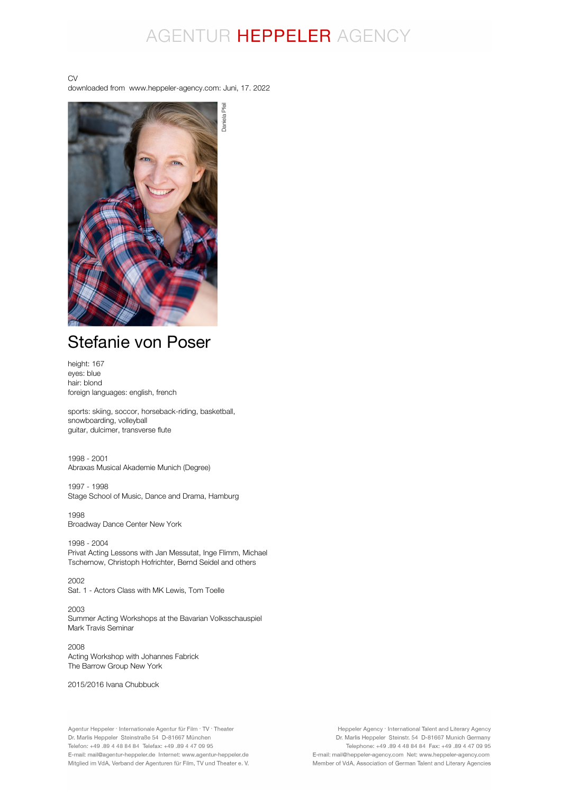# AGENTUR HEPPELER AGENCY

Daniela Pfeil

CV downloaded from www.heppeler-agency.com: Juni, 17. 2022

Daniela Pfeil

# Stefanie von Poser

height: 167 eyes: blue hair: blond foreign languages: english, french

sports: skiing, soccor, horseback-riding, basketball, snowboarding, volleyball guitar, dulcimer, transverse flute

1998 - 2001 Abraxas Musical Akademie Munich (Degree)

1997 - 1998 Stage School of Music, Dance and Drama, Hamburg

1998 Broadway Dance Center New York

1998 - 2004 Privat Acting Lessons with Jan Messutat, Inge Flimm, Michael Tschernow, Christoph Hofrichter, Bernd Seidel and others

2002 Sat. 1 - Actors Class with MK Lewis, Tom Toelle

2003 Summer Acting Workshops at the Bavarian Volksschauspiel Mark Travis Seminar

2008 Acting Workshop with Johannes Fabrick The Barrow Group New York

2015/2016 Ivana Chubbuck

Agentur Heppeler · Internationale Agentur für Film · TV · Theater Dr. Marlis Heppeler Steinstraße 54 D-81667 München Telefon: +49 .89 4 48 84 84 Telefax: +49 .89 4 47 09 95 E-mail: mail@agentur-heppeler.de Internet: www.agentur-heppeler.de Mitglied im VdA, Verband der Agenturen für Film, TV und Theater e. V.

Heppeler Agency · International Talent and Literary Agency Dr. Marlis Heppeler Steinstr. 54 D-81667 Munich Germany Telephone: +49.89 4 48 84 84 Fax: +49.89 4 47 09 95 E-mail: mail@heppeler-agency.com Net: www.heppeler-agency.com Member of VdA, Association of German Talent and Literary Agencies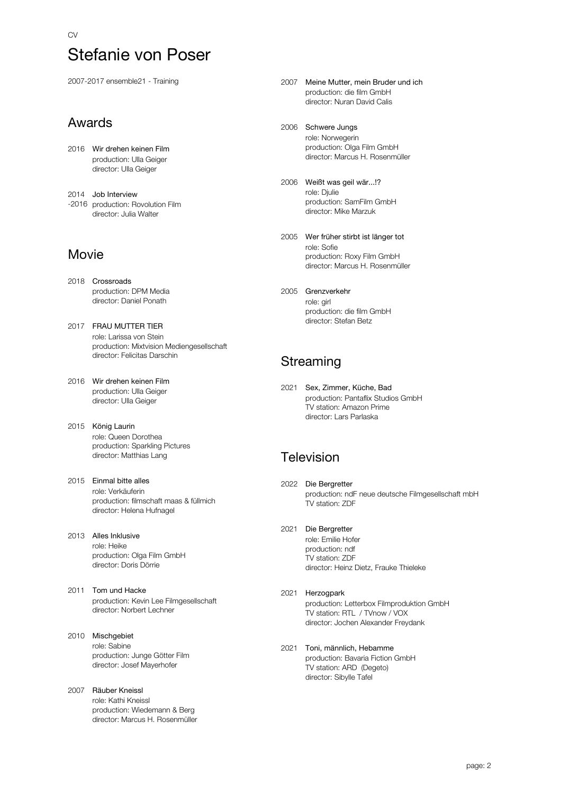2007-2017 ensemble21 - Training

## Awards

2016 Wir drehen keinen Film production: Ulla Geiger director: Ulla Geiger

2014 Job Interview -2016 production: Rovolution Film director: Julia Walter

## Movie

- 2018 Crossroads production: DPM Media director: Daniel Ponath
- 2017 FRAU MUTTER TIER role: Larissa von Stein production: Mixtvision Mediengesellschaft director: Felicitas Darschin
- 2016 Wir drehen keinen Film production: Ulla Geiger director: Ulla Geiger
- 2015 König Laurin role: Queen Dorothea production: Sparkling Pictures director: Matthias Lang
- 2015 Einmal bitte alles role: Verkäuferin production: filmschaft maas & füllmich director: Helena Hufnagel
- 2013 Alles Inklusive role: Heike production: Olga Film GmbH director: Doris Dörrie
- 2011 Tom und Hacke production: Kevin Lee Filmgesellschaft director: Norbert Lechner
- 2010 Mischgebiet role: Sabine production: Junge Götter Film director: Josef Mayerhofer

### 2007 Räuber Kneissl role: Kathi Kneissl production: Wiedemann & Berg director: Marcus H. Rosenmüller

- 2007 Meine Mutter, mein Bruder und ich production: die film GmbH director: Nuran David Calis
- 2006 Schwere Jungs role: Norwegerin production: Olga Film GmbH director: Marcus H. Rosenmüller
- 2006 Weißt was geil wär...!? role: Djulie production: SamFilm GmbH director: Mike Marzuk
- 2005 Wer früher stirbt ist länger tot role: Sofie production: Roxy Film GmbH director: Marcus H. Rosenmüller
- 2005 Grenzverkehr role: girl production: die film GmbH director: Stefan Betz

## **Streaming**

2021 Sex, Zimmer, Küche, Bad production: Pantaflix Studios GmbH TV station: Amazon Prime director: Lars Parlaska

## **Television**

- 2022 Die Bergretter production: ndF neue deutsche Filmgesellschaft mbH TV station: ZDF
- 2021 Die Bergretter

role: Emilie Hofer production: ndf TV station: ZDF director: Heinz Dietz, Frauke Thieleke

- 2021 Herzogpark production: Letterbox Filmproduktion GmbH TV station: RTL / TVnow / VOX director: Jochen Alexander Freydank
- 2021 Toni, männlich, Hebamme production: Bavaria Fiction GmbH .<br>TV station: ARD (Degeto) director: Sibylle Tafel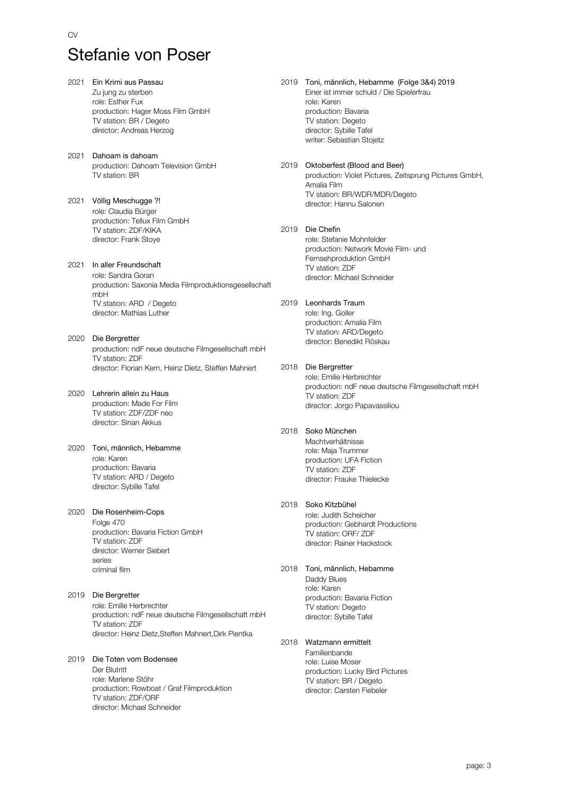2021 Ein Krimi aus Passau Zu jung zu sterben role: Esther Fux production: Hager Moss Film GmbH TV station: BR / Degeto director: Andreas Herzog 2021 Dahoam is dahoam production: Dahoam Television GmbH TV station: BR 2021 Völlig Meschugge ?! role: Claudia Bürger production: Tellux Film GmbH TV station: ZDF/KIKA director: Frank Stoye 2021 In aller Freundschaft role: Sandra Goran production: Saxonia Media Filmproduktionsgesellschaft mbH TV station: ARD / Degeto director: Mathias Luther 2020 Die Bergretter production: ndF neue deutsche Filmgesellschaft mbH TV station: ZDF director: Florian Kern, Heinz Dietz, Steffen Mahnert 2020 Lehrerin allein zu Haus production: Made For Film TV station: ZDF/ZDF neo director: Sinan Akkus 2020 Toni, männlich, Hebamme role: Karen production: Bavaria TV station: ARD / Degeto director: Sybille Tafel 2020 Die Rosenheim-Cops Folge 470 production: Bavaria Fiction GmbH TV station: ZDF director: Werner Siebert series criminal film 2019 Die Bergretter role: Emilie Herbrechter production: ndF neue deutsche Filmgesellschaft mbH TV station: ZDF director: Heinz Dietz,Steffen Mahnert,Dirk Pientka 2019 Die Toten vom Bodensee Der Blutritt role: Marlene Stöhr production: Rowboat / Graf Filmproduktion

> TV station: ZDF/ORF director: Michael Schneider

2019 Toni, männlich, Hebamme (Folge 3&4) 2019 Einer ist immer schuld / Die Spielerfrau role: Karen production: Bavaria TV station: Degeto director: Sybille Tafel writer: Sebastian Stojetz

#### 2019 Oktoberfest (Blood and Beer) production: Violet Pictures, Zeitsprung Pictures GmbH, Amalia Film TV station: BR/WDR/MDR/Degeto

director: Hannu Salonen

2019 Die Chefin role: Stefanie Mohnfelder production: Network Movie Film- und Fernsehproduktion GmbH TV station: ZDF director: Michael Schneider

### 2019 Leonhards Traum

role: Ing. Goller production: Amalia Film TV station: ARD/Degeto director: Benedikt Röskau

### 2018 Die Bergretter

role: Emilie Herbrechter production: ndF neue deutsche Filmgesellschaft mbH TV station: ZDF director: Jorgo Papavassiliou

### 2018 Soko München

Machtverhältnisse role: Maja Trummer production: UFA Fiction TV station: ZDF director: Frauke Thielecke

### 2018 Soko Kitzbühel

role: Judith Scheicher production: Gebhardt Productions TV station: ORF/ ZDF director: Rainer Hackstock

2018 Toni, männlich, Hebamme Daddy Blues role: Karen production: Bavaria Fiction TV station: Degeto

director: Sybille Tafel

### 2018 Watzmann ermittelt

Familienbande role: Luise Moser production: Lucky Bird Pictures TV station: BR / Degeto director: Carsten Fiebeler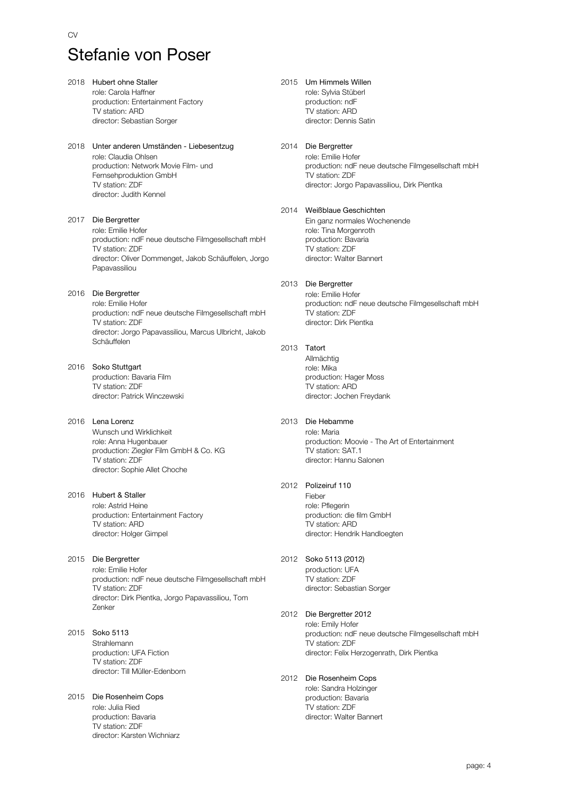| 2018 | Hubert ohne Staller<br>role: Carola Haffner<br>production: Entertainment Factory<br>TV station: ARD<br>director: Sebastian Sorger                                                      |
|------|----------------------------------------------------------------------------------------------------------------------------------------------------------------------------------------|
| 2018 | Unter anderen Umständen - Liebesentzug<br>role: Claudia Ohlsen<br>production: Network Movie Film- und<br>Fernsehproduktion GmbH<br>TV station: ZDF<br>director: Judith Kennel          |
| 2017 | Die Bergretter<br>role: Emilie Hofer<br>production: ndF neue deutsche Filmgesellschaft mbH<br>TV station: ZDF<br>director: Oliver Dommenget, Jakob Schäuffelen, Jorgo<br>Papavassiliou |
| 2016 | Die Bergretter<br>role: Emilie Hofer<br>production: ndF neue deutsche Filmgesellschaft mbH<br>TV station: ZDF<br>director: Jorgo Papavassiliou, Marcus Ulbricht, Jakob<br>Schäuffelen  |
| 2016 | Soko Stuttgart<br>production: Bavaria Film<br>TV station: ZDF<br>director: Patrick Winczewski                                                                                          |
| 2016 | Lena Lorenz<br>Wunsch und Wirklichkeit<br>role: Anna Hugenbauer<br>production: Ziegler Film GmbH & Co. KG<br>TV station: ZDF<br>director: Sophie Allet Choche                          |
|      | 2016 Hubert & Staller<br>role: Astrid Heine<br>production: Entertainment Factory<br>TV station: ARD<br>director: Holger Gimpel                                                         |
| 2015 | Die Bergretter<br>role: Emilie Hofer<br>production: ndF neue deutsche Filmgesellschaft mbH<br>TV station: ZDF<br>director: Dirk Pientka, Jorgo Papavassiliou, Tom<br>Zenker            |
| 2015 | Soko 5113<br>Strahlemann<br>production: UFA Fiction<br>TV station: ZDF<br>director: Till Müller-Edenborn                                                                               |
| 2015 | Die Rosenheim Cops<br>role: Julia Ried<br>production: Bavaria<br>TV station: ZDF                                                                                                       |

director: Karsten Wichniarz

### 2015 Um Himmels Willen

role: Sylvia Stüberl production: ndF TV station: ARD director: Dennis Satin

#### 2014 Die Bergretter

role: Emilie Hofer production: ndF neue deutsche Filmgesellschaft mbH TV station: ZDF director: Jorgo Papavassiliou, Dirk Pientka

#### 2014 Weißblaue Geschichten

Ein ganz normales Wochenende role: Tina Morgenroth production: Bavaria TV station: ZDF director: Walter Bannert

#### 2013 Die Bergretter

role: Emilie Hofer production: ndF neue deutsche Filmgesellschaft mbH TV station: ZDF director: Dirk Pientka

#### 2013 Tatort

Allmächtig role: Mika production: Hager Moss TV station: ARD director: Jochen Freydank

#### 2013 Die Hebamme

role: Maria production: Moovie - The Art of Entertainment TV station: SAT.1 director: Hannu Salonen

#### 2012 Polizeiruf 110

Fieber role: Pflegerin production: die film GmbH TV station: ARD director: Hendrik Handloegten

#### 2012 Soko 5113 (2012)

production: UFA TV station: ZDF director: Sebastian Sorger

#### 2012 Die Bergretter 2012

role: Emily Hofer production: ndF neue deutsche Filmgesellschaft mbH TV station: ZDF director: Felix Herzogenrath, Dirk Pientka

#### 2012 Die Rosenheim Cops role: Sandra Holzinger production: Bavaria TV station: ZDF director: Walter Bannert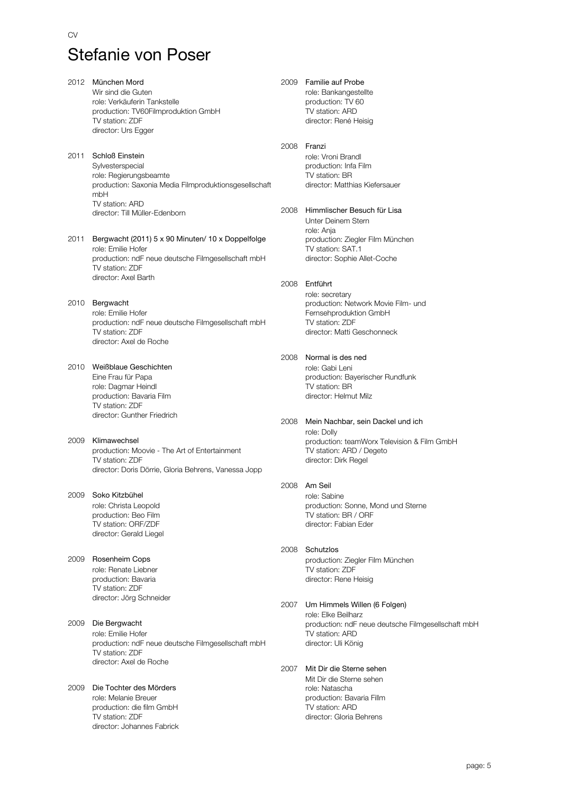| 2012 | München Mord<br>Wir sind die Guten<br>role: Verkäuferin Tankstelle<br>production: TV60Filmproduktion GmbH<br>TV station: ZDF<br>director: Urs Egger | 2009 | Familie auf Probe<br>role: Bankangestellte<br>production: TV 60<br>TV station: ARD<br>director: René Heisig                        |
|------|-----------------------------------------------------------------------------------------------------------------------------------------------------|------|------------------------------------------------------------------------------------------------------------------------------------|
| 2011 | Schloß Einstein<br>Sylvesterspecial<br>role: Regierungsbeamte<br>production: Saxonia Media Filmproduktionsgesellschaft<br>mbH<br>TV station: ARD    | 2008 | Franzi<br>role: Vroni Brandl<br>production: Infa Film<br>TV station: BR<br>director: Matthias Kiefersauer                          |
| 2011 | director: Till Müller-Edenborn<br>Bergwacht (2011) 5 x 90 Minuten/ 10 x Doppelfolge                                                                 | 2008 | Himmlischer Besuch für Lisa<br>Unter Deinem Stern<br>role: Anja                                                                    |
|      | role: Emilie Hofer<br>production: ndF neue deutsche Filmgesellschaft mbH<br>TV station: ZDF<br>director: Axel Barth                                 |      | production: Ziegler Film München<br>TV station: SAT.1<br>director: Sophie Allet-Coche                                              |
|      |                                                                                                                                                     | 2008 | Entführt                                                                                                                           |
| 2010 | Bergwacht<br>role: Emilie Hofer<br>production: ndF neue deutsche Filmgesellschaft mbH<br>TV station: ZDF<br>director: Axel de Roche                 |      | role: secretary<br>production: Network Movie Film- und<br>Fernsehproduktion GmbH<br>TV station: ZDF<br>director: Matti Geschonneck |
|      |                                                                                                                                                     | 2008 | Normal is des ned                                                                                                                  |
| 2010 | Weißblaue Geschichten<br>Eine Frau für Papa<br>role: Dagmar Heindl<br>production: Bavaria Film<br>TV station: ZDF                                   |      | role: Gabi Leni<br>production: Bayerischer Rundfunk<br>TV station: BR<br>director: Helmut Milz                                     |
|      | director: Gunther Friedrich                                                                                                                         | 2008 | Mein Nachbar, sein Dackel und ich<br>role: Dolly                                                                                   |
| 2009 | Klimawechsel<br>production: Moovie - The Art of Entertainment<br>TV station: ZDF<br>director: Doris Dörrie, Gloria Behrens, Vanessa Jopp            |      | production: teamWorx Television & Film GmbH<br>TV station: ARD / Degeto<br>director: Dirk Regel                                    |
|      |                                                                                                                                                     | 2008 | Am Seil                                                                                                                            |
| 2009 | Soko Kitzbühel<br>role: Christa Leopold<br>production: Beo Film<br>TV station: ORF/ZDF<br>director: Gerald Liegel                                   |      | role: Sabine<br>production: Sonne, Mond und Sterne<br>TV station: BR / ORF<br>director: Fabian Eder                                |
|      |                                                                                                                                                     | 2008 | Schutzlos                                                                                                                          |
| 2009 | Rosenheim Cops<br>role: Renate Liebner<br>production: Bavaria<br>TV station: ZDF                                                                    |      | production: Ziegler Film München<br>TV station: ZDF<br>director: Rene Heisig                                                       |
|      | director: Jörg Schneider                                                                                                                            | 2007 | Um Himmels Willen (6 Folgen)<br>role: Elke Beilharz                                                                                |
| 2009 | Die Bergwacht<br>role: Emilie Hofer<br>production: ndF neue deutsche Filmgesellschaft mbH<br>TV station: ZDF                                        |      | production: ndF neue deutsche Filmgesellschaft mbH<br>TV station: ARD<br>director: Uli König                                       |
|      | director: Axel de Roche                                                                                                                             | 2007 | Mit Dir die Sterne sehen                                                                                                           |
| 2009 | Die Tochter des Mörders<br>role: Melanie Breuer<br>production: die film GmbH<br>TV station: ZDF<br>director: Johannes Fabrick                       |      | Mit Dir die Sterne sehen<br>role: Natascha<br>production: Bavaria Fillm<br>TV station: ARD<br>director: Gloria Behrens             |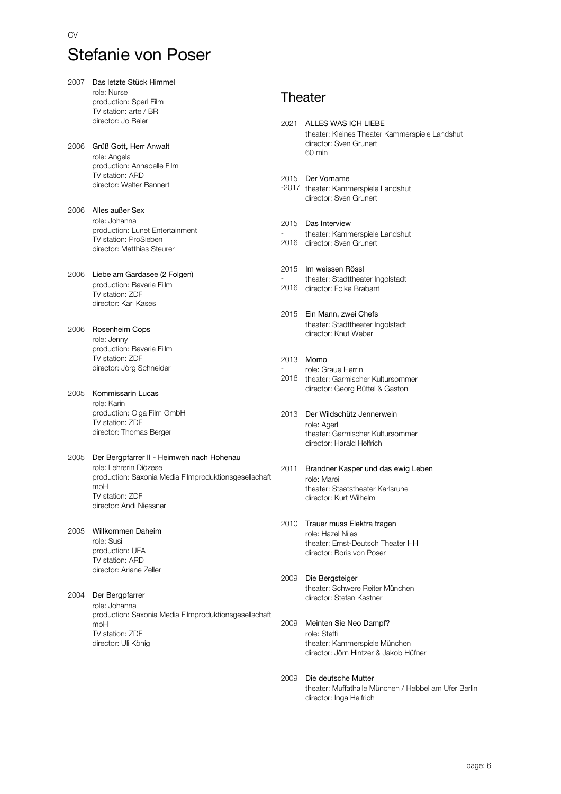- 2007 Das letzte Stück Himmel role: Nurse production: Sperl Film TV station: arte / BR director: Jo Baier 2006 Grüß Gott, Herr Anwalt role: Angela production: Annabelle Film TV station: ARD director: Walter Bannert 2006 Alles außer Sex role: Johanna production: Lunet Entertainment TV station: ProSieben director: Matthias Steurer 2006 Liebe am Gardasee (2 Folgen) production: Bavaria Fillm TV station: ZDF director: Karl Kases 2006 Rosenheim Cops role: Jenny production: Bavaria Fillm TV station: ZDF director: Jörg Schneider 2005 Kommissarin Lucas role: Karin production: Olga Film GmbH TV station: ZDF director: Thomas Berger 2005 Der Bergpfarrer II - Heimweh nach Hohenau role: Lehrerin Diözese production: Saxonia Media Filmproduktionsgesellschaft mbH TV station: ZDF director: Andi Niessner 2005 Willkommen Daheim role: Susi production: UFA TV station: ARD director: Ariane Zeller 2004 Der Bergpfarrer role: Johanna production: Saxonia Media Filmproduktionsgesellschaft mbH TV station: ZDF director: Uli König **Theater** 2021 ALLES WAS ICH LIEBE theater: Kleines Theater Kammerspiele Landshut director: Sven Grunert 60 min 2015 Der Vorname -2017 theater: Kammerspiele Landshut director: Sven Grunert 2015 Das Interview - 2016 director: Sven Grunert theater: Kammerspiele Landshut 2015 Im weissen Rössl - 2016 director: Folke Brabant theater: Stadttheater Ingolstadt 2015 Ein Mann, zwei Chefs theater: Stadttheater Ingolstadt director: Knut Weber 2013 Momo - 2016 theater: Garmischer Kultursommer role: Graue Herrin director: Georg Büttel & Gaston 2013 Der Wildschütz Jennerwein role: Agerl theater: Garmischer Kultursommer director: Harald Helfrich 2011 Brandner Kasper und das ewig Leben role: Marei theater: Staatstheater Karlsruhe director: Kurt Wilhelm 2010 Trauer muss Elektra tragen role: Hazel Niles theater: Ernst-Deutsch Theater HH director: Boris von Poser 2009 Die Bergsteiger theater: Schwere Reiter München director: Stefan Kastner 2009 Meinten Sie Neo Dampf? role: Steffi theater: Kammerspiele München director: Jörn Hintzer & Jakob Hüfner
	- 2009 Die deutsche Mutter theater: Muffathalle München / Hebbel am Ufer Berlin director: Inga Helfrich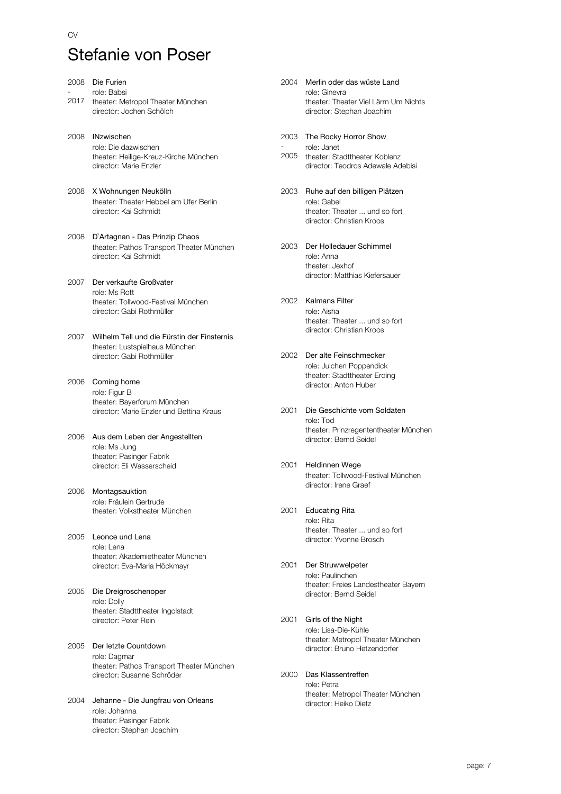| 2008 | Die Furien                                                                                                      |
|------|-----------------------------------------------------------------------------------------------------------------|
| 2017 | role: Babsi<br>theater: Metropol Theater München<br>director: Jochen Schölch                                    |
| 2008 | <b>INzwischen</b><br>role: Die dazwischen<br>theater: Heilige-Kreuz-Kirche München<br>director: Marie Enzler    |
| 2008 | X Wohnungen Neukölln<br>theater: Theater Hebbel am Ufer Berlin<br>director: Kai Schmidt                         |
| 2008 | D'Artagnan - Das Prinzip Chaos<br>theater: Pathos Transport Theater München<br>director: Kai Schmidt            |
| 2007 | Der verkaufte Großvater<br>role: Ms Rott<br>theater: Tollwood-Festival München<br>director: Gabi Rothmüller     |
| 2007 | Wilhelm Tell und die Fürstin der Finsternis<br>theater: Lustspielhaus München<br>director: Gabi Rothmüller      |
| 2006 | Coming home<br>role: Figur B<br>theater: Bayerforum München<br>director: Marie Enzler und Bettina Kraus         |
|      | 2006 Aus dem Leben der Angestellten<br>role: Ms Jung<br>theater: Pasinger Fabrik<br>director: Eli Wasserscheid  |
| 2006 | Montagsauktion<br>role: Fräulein Gertrude<br>theater: Volkstheater München                                      |
| 2005 | Leonce und Lena<br>role: Lena<br>theater: Akademietheater München<br>director: Eva-Maria Höckmayr               |
| 2005 | Die Dreigroschenoper<br>role: Dolly<br>theater: Stadttheater Ingolstadt<br>director: Peter Rein                 |
| 2005 | Der letzte Countdown<br>role: Dagmar<br>theater: Pathos Transport Theater München<br>director: Susanne Schröder |
| 2004 | Jehanne - Die Jungfrau von Orleans<br>role: Johanna<br>theater: Pasinger Fabrik                                 |

director: Stephan Joachim

2004 Merlin oder das wüste Land role: Ginevra theater: Theater Viel Lärm Um Nichts director: Stephan Joachim

2003 The Rocky Horror Show role: Janet

2005 theater: Stadttheater Koblenz director: Teodros Adewale Adebisi

- 2003 Ruhe auf den billigen Plätzen role: Gabel theater: Theater ... und so fort director: Christian Kroos
- 2003 Der Holledauer Schimmel role: Anna theater: Jexhof director: Matthias Kiefersauer
- 2002 Kalmans Filter role: Aisha theater: Theater ... und so fort director: Christian Kroos
- 2002 Der alte Feinschmecker role: Julchen Poppendick theater: Stadttheater Erding director: Anton Huber
- 2001 Die Geschichte vom Soldaten role: Tod theater: Prinzregententheater München director: Bernd Seidel
- 2001 Heldinnen Wege theater: Tollwood-Festival München director: Irene Graef
- 2001 Educating Rita role: Rita theater: Theater ... und so fort director: Yvonne Brosch
- 2001 Der Struwwelpeter role: Paulinchen theater: Freies Landestheater Bayern director: Bernd Seidel
- 2001 Girls of the Night role: Lisa-Die-Kühle theater: Metropol Theater München director: Bruno Hetzendorfer
- 2000 Das Klassentreffen role: Petra theater: Metropol Theater München director: Heiko Dietz